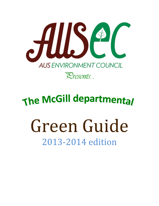

# The McGill departmental

# Green Guide 2013-2014 edition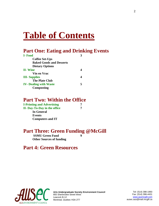# **Table of Contents**

# **Part One: Eating and Drinking Events**

| I-Food                          |  |
|---------------------------------|--|
| <b>Coffee Set-Ups</b>           |  |
| <b>Baked Goods and Desserts</b> |  |
| <b>Dietary Options</b>          |  |
| <b>II-Wine</b>                  |  |
| Vin en Vrac                     |  |
| <b>III</b> - Supplies           |  |
| <b>The Plate Club</b>           |  |
| <b>IV- Dealing with Waste</b>   |  |
| Composting                      |  |

# **Part Two: Within the Office**

| <b>I-Printing and Advertising</b> |   |
|-----------------------------------|---|
| II-Day-To-Day in the office       | 7 |
| <b>In General</b>                 |   |
| Events                            |   |
| <b>Computers and IT</b>           |   |

# **Part Three: Green Funding @McGill**

**SSMU Green Fund 9 Other Sources of funding**

# **Part 4: Green Resources**



**Arts Undergraduate Society Environment Council** 855 Sherbrooke Street West Leacock B-12 Montreal, Quebec H3A 2T7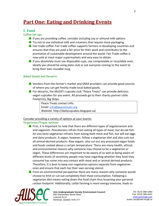# **Part One: Eating and Drinking Events**

# **I- Food**

# Coffee Set-ups

- **A** If you are providing coffee, consider including soy or almond milk options
- **A** Try not to use individual milk and creamers that require more packaging.
- Fair trade coffee: Fair trade coffee supports farmers in developing countries and ensures that they are paid a fair price for their work and contributes to the promotion of sustainable development around the world. Fair Trade coffee is now sold at most major supermarkets and very easy to obtain.
- **A** If you absolutely must use disposable cups, use compostable or recyclable ones. Ideally you should be using plate club or ask everyone coming to the event to bring their own reusable mug.

# Baked Goods and Desserts

- Vendors from the farmer's market and SNAX providers can provide good sources of where you can get freshly made local baked goods.
- **A** For desserts, the McGill's cupcake club "Peace Treats" can provide delicious vegan cupcakes for you event. All proceeds go to their charity partner Little Footprints, Big Steps.

Peace Treats contact info: Email: [info@peacetreats.org](mailto:info@peacetreats.org) Website: http://dailycupcakes.blogspot.ca/

# Consider providing a variety of options at your events:

# Vegetarian/Vegan options:

**A** First, it is important to note that there are different types of vegetarianism and and veganism. Pescatarians refrain from eating all types of meat, but do eat fish. An ovo-lacto vegetarian refrains from eating both meat and fish, but will eat eggs and dairy products. A vegan, however, follow a vegetarian diet and also cuts out all animal-derived products. Raw vegans also cut out any processed vegan foods and foods cooked above a certain temperature. There are many health, ethical, and environmental reasons why someone may choose to be a vegetarian or vegan. These differences are important to be aware of as well as being aware of different levels of sensitivity people may have regarding whether they food they consume has come into any contact with meat and or animal derived products. Therefore, it is best to keep non-vegetarian options separate from vegetarian ones and ensure that each has their own serving utensil.

**A** From an environmental perspective there are many reasons why someone would choose to limit or cut out completely their meat consumption. Following a vegetarian diet means eating down the food chain thus lessening your personal carbon footprint. Additionally, cattle farming is more energy intensive, leads to

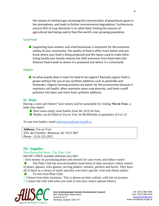the release of methane gas increasing the concentration of greenhouse gases in the atmosphere, and leads to further environmental degradation. Furthermore, around 35% of crop allocation is to cattle feed, limiting the amount of agricultural land being used to feed the world's ever growing population.

#### Local Food

 $\triangle$  Supporting local vendors and small businesses is important for the economic vitality of your community. The quality of food is often much better and you know where your food is being produced and the inputs used to make them. Eating locally also heavily reduces the GHG emissions from food miles (the distance food travels to where it is produced and where it is consumed).

#### **Organic**

So what exactly does it mean for food to be organic? Basically organic food is grown without the use of any synthetic additives such as pesticides and herbicides. Organic farming practices are better for the environment because it maintains soil health, often maintains more crop diversity, and limits runoff pollution into lakes and rivers from synthetic additives.

## **II- Wine**

Having a wine and cheese? Save money and be sustainable by visiting **Vin en Vrac**, a bulk wine depot!

- **Rent some empty wine bottles from the AUS for free.**
- Bottles can be filled at Vin en Vrac for \$6.00/bottle in quantities of 6 or 12

To rent free bottles, email [internal.aus@mail.mcgill.ca](mailto:internal.aus@mail.mcgill.ca)

**Address:** Vin en Vrac: 2021 des Futailles Montreal, QC H1N 3M7 Phone: (514) 353-2021

# **III- Supplies:**

#### Non-disposable Items: The Plate Club

McGill's FREE reusable dishware provider!

- Save money on purchasing plates and utensils for your event, and reduce waste!

The Plate Club has several hundred rental items in their inventory which consist of plates, glasses, wine glasses, serving platters, utensils, pitchers and bowls. They have all of these in a variety of styles and they even have specific wine and cheese plates!

To rent from Plate Club:

1. Choose from their inventory. This is shown on their *website*, with lots of pictures.

2. Contact the club with what you wish to rent (see contact options below)



**Arts Undergraduate Society Environment Council** 855 Sherbrooke Street West Leacock B-12 Montreal, Quebec H3A 2T7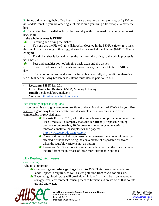3. Set up a day during their office hours to pick up your order and pay a *deposit (\$20 per bin of dishware).* If you are ordering a lot, make sure you bring a few people to carry the bins!

4. If you bring back the dishes fully clean and dry within one week, you get your deposit back in full

# **= the whole process is FREE!**

Cleaning and drying the dishes:

o You can use the Plate Club's dishwasher (located in the SSMU cafeteria) to wash the rental dishes, as long as this is not during the designated lunch hours (M-F 11:30am - 2:30pm).

o The dishwasher is located across the hall from the office, so the whole process is not a hassle.

 $\clubsuit$ Fees and penalties for not bringing back clean and dry dishes:

o If you do not bring back rentals within one week, there is a late fee of \$10 per day.

o If you do not return the dishes in a fully clean and fully dry condition, there is a fee of \$20 per bin. Any broken or lost items must also be paid for in full.

- · **Location:** SSMU Rm 201
- · **Office Hours for Rentals:** 4-5PM, Monday to Friday
- · **Email:** theplateclub@gmail.com
- · **Website[:](http://theplateclub.tumblr.com/)** [http://theplateclub.tumblr.com](http://theplateclub.tumblr.com/)

# Eco-Friendly disposable options

If your event is too big or remote to use Plate Club (which should ALWAYS be your first resort!), a good way to reduce waste from disposable utensils or plates is to order compostable or recycled ones!

For Arts Frosh in 2013, all of the utensils were compostable, ordered from "Eco Products," a company that sells eco-friendly disposable dining products (compostable, 100% post-consumer recycled material, or renewable material-based plastics and papers).

<http://www.ecoproductsstore.com/>

- These options can help you lessen your waste or the amount of resources affected, without sacrificing the convenience of disposable dishware when the reusable variety is not an option.
- **A** Please see Part 3 for more information on how to fund the price increase incurred from the purchase of these more sustainable options.

# **III- Dealing with waste**

# **Composting**

Why it is important:

- **Composting can reduce garbage by up to 75%!** This means that much less landfill space is required, as well as less pollution from trucks for pick-up.
- Even though food scraps will break down in landfill, it will be in an anaerobic (oxygen-free) environment, causing them to ferment and create acids that pollute ground and water.



**Arts Undergraduate Society Environment Council** 855 Sherbrooke Street West Leacock B-12 Montreal, Quebec H3A 2T7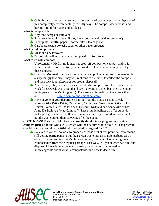Only through a compost system can these types of waste be properly disposed of in a completely environmentally friendly way! The compost decomposes and becomes food for plants and gardens!

What **is** compostable:

- Any food scraps or leftovers
- **A** Paper towel/napkins (even if they have food-related residues on them!)
- Paper plates, muffin papers , coffee filters, tea bags etc
- **Cardboard (pizza boxes!), paper or other paper products**

What is **not** compostable:

- Meat or dairy leftovers
- **D** Disposable coffee cups or anything plastic or Styrofoam

What to do with compost:

Unfortunately, McGill no longer has drop-off compost on campus, and so it requires a little more creativity than it used to. However, we urge you to try these sources:

- **Compost Montreal is a local company that can pick up compost from events! For** a surprisingly low price, they will rent bins to the event to collect the compost, and then pick it up afterwards for proper disposal!
- Alternatively, they will also pick up residents' compost from their door once a week for \$5/week. Ask around and see if anyone is a member (there are many participants in the McGill ghetto). They are also incredibly nice. Check them out! <http://www.compostmontreal.com/>
- Have anyone in your department hailing from the Plateau-Mont Royal, Rosemont-La Petite Patrie, Outremont, Verdun and Westmount, Côte St. Luc, Dorval, Pointe Claire, Dollard des Ormeaux, Kirkland and Senneville or Ste-Anne-De-Bellevue (Mac Campus!)? These municipalities all offer curbside pick-up of green waste in all or certain areas! See if you could get someone to put the waste out on their driveway after the event.

GOOD NEWS! The city of Montreal is currently developing a program **to provide compost pick-up** to the whole city, which will then be turned into bio-fuel! The program should be up and running by 2016 with completion targeted for 2020.

So, even if you are not able to properly dispose of it at this point, we recommend still getting participants to put their green waste into a separate garbage can, in order to begin teaching the McGill Community the habit of separating their compostables from their regular garbage. That way, in 3 years when we can truly dispose of it easily, everyone will already be extremely habituated and knowledgeable about what is compostable, and how to deal with it!



**Arts Undergraduate Society Environment Council** 855 Sherbrooke Street West Leacock B-12 Montreal, Quebec H3A 2T7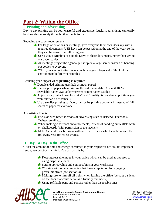# **Part 2: Within the Office**

# **I- Printing and advertising**

Day-to-day printing can be both **wasteful and expensive**! Luckily, advertising can easily be done almost solely through other media forms.

Reducing the paper requirements:

- For large orientations or meetings, give everyone their own USB key with all required documents. USB keys can be passed on at the end of the year, so that they can be reused the following year!
- Use a group Dropbox or Google Drive to share documents, rather than giving out paper copies
- At meetings project the agenda, put it up on a large screen instead of handing out copies to everyone
- When you send out attachments, include a green logo and a "think of the environment before you print this

# Reducing your impact when **printing is required**:

- $\triangle$  Double sided printing uses half as much paper!
- Use recycled paper when printing (Forest Stewardship Council 100% recyclable paper, available wherever printer paper is sold)
- A Adjust your printer to use less ink ("draft" quality for text-based printing-you won't notice a difference!)
- Use a smaller printing surfaces, such as by printing bookmarks instead of full sheets of paper for everyone.

Advertising Events:

- **A** Focus on web based methods of advertising such as listservs, Facebook, Twitter, email etc.
- When making classroom announcements, instead of handing out leaflets write on chalkboards (with permission of the teacher)
- **Make General reusable signs without specific dates which can be reused the** following year for repeat events.

# **II- Day-To-Day In the Office**

Given the amount of time and energy consumed in your respective offices, its important keep green practices in mind. You can do this by…

- Keeping reusable mugs in your office which can be used as opposed to using disposable ones
- Setting up recycling and compost bins in your workspace
- Working with other companies that have a reputation for engaging in green initiatives (see section 3)
- Making sure to turn off all lights when leaving the office (perhaps a sticker on the door that could serve as a friendly reminder?)
- Using refillable pens and pencils rather than disposable ones



**Arts Undergraduate Society Environment Council** 855 Sherbrooke Street West Leacock B-12 Montreal, Quebec H3A 2T7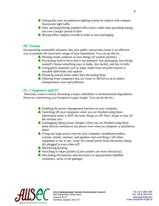- As Asking that your incandescent lighting system be replace with compact fluorescent light bulbs
- **Only operating during standard office hours rather than spreading energy** use over a longer period of time
- Buying office supplies in bulk in order to save packaging

# **III- Events**

Incorporating sustainable measures into your public and private events is an effective way to promote the innovative image of your department. You can do this by...

- Hosting events outdoors to save energy (if weather permits)
- **Purchasing food to serve that it not prepared-** less packaging, less energy wasted! Choose something easy to make, buy locally, and buy in bulk.
- Using green materials such as paper made from recycled sources or reusable tablecloths and napkins
- **Donating unused items rather than discarding them**
- **A** Ordering from companies that are closer to McGill so as to reduce transportation costs and pollution

# **IV- Computers and IT**

Electronic waste is slowly becoming a major contributor to environmental degradation. However, minimizing your footprint is quite simple. You can do this by…

- **A** Enabling the power management function on your computer
- Switching off your computers when you are finished using themhibernation mode is NOT the same things as off! Don't forget to turn off the monitor too!
- Unplugging laptop power chargers when you are finished using themthese devices continue to use power even when no computer is attached to them!
- Using one large power strip for your computer, broadband modem, scanner, printer, monitor, and speakers and switching it off when equipment is not in use- voila! No wasted power from electronics being left plugged in even when off!
- **Minimizing printing**
- Switching to inkjet printers (Laser printers use more electricity).
- **b** Discarding old batteries and electronics in appropriately 8abelled containers- never in the garbage!

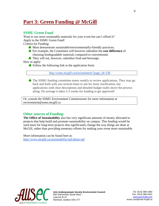# **Part 3: Green Funding @ McGill**

# **SSMU Green Fund**

Want to use more sustainable materials for your event but can't afford it? Apply to the SSMU Green Fund!

Criteria for Funding:

- **Must demonstrate sustainable/environmentally-friendly practices;**
- For example, the Committee will however subsidize the **cost difference** of choosing biodegradable materials compared to conventional;
- **They will not, however, subsidize food and beverage;**

How to apply:

Follow the following link to the application form:

[http://ssmu.mcgill.ca/environment/?page\\_id=236](http://ssmu.mcgill.ca/environment/?page_id=236)

The SSMU funding committee meets weekly to review applications. They may go back and forth with you several times to ask for more clarification, but applications with clear descriptions and detailed budget really move the process along. On average it takes 2-3 weeks for funding to get approved!

Or, consult the SSMU Environment Commissioner for more information at environment@ssmu.mcgill.ca

## **Other sources of Funding:**

**The Office of Sustainability** also has very significant amounts of money allocated to projects that help build and promote sustainability on campus. This funding would be used more for long-term projects that significantly change the way things are done at McGill, rather than providing monetary offsets for making your event more sustainable.

More information can be found here at: <http://www.mcgill.ca/sustainability/spf/about-spf>



**Arts Undergraduate Society Environment Council** 855 Sherbrooke Street West Leacock B-12 Montreal, Quebec H3A 2T7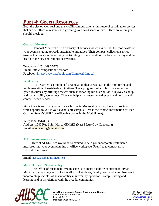# **Part 4: Green Resources**

Both the city of Montreal and the McGill campus offer a multitude of sustainable services that can be effective resources in greening your workspace or event. Here are a few you should check out!

#### Compost Montreal

Compost Montreal offers a variety of services which assure that the food waste of your events is going towards sustainable initiatives. Their compost collection service assures that your club is actively contributing to the strength of the local economy and the health of the city and campus ecosystems.

Telephone: 1(514)690-5773 Email: Info@compostmontreal.com Facebook: <https://www.facebook.com/CompostMontreal>

#### Eco-Quartier

Eco-Quartier is a municipal organization that specializes in the monitoring and implementation of sustainable initiatives. Their program seeks to facilitate access to green resources by offering services such as recycling bin distribution, alleyway cleanup, and sustainability workshops. They can help with green-themed events and help provide contacts when needed!

Since there is an Eco-Quartier for each zone in Montreal, you may have to look into which applies to you if your event is off-campus. Here is the contact information for Eco-Quartier Peter-McGill (the office that works in the McGill area):

Telephone: (514) 933-1069 Address: 1240 Rue Saint-Marc, H3H 2E5 (Near Metro Guy-Concordia) Email: [eco.petermg@gmail.com](mailto:eco.petermg@gmail.com)

#### AUS Environment Council

Here at AUSEC, we would be so excited to help you incorporate sustainable measures into your event planning or office workspace. Feel free to contact us to schedule a meeting!

Email: [ausec.aus@mail.mcgill.ca](mailto:ausec.aus@mail.mcgill.ca)

#### McGill Office of Sustainability

The Office of Sustainability's mission is to create a culture of sustainability at McGill - to encourage and unite the efforts of students, faculty, staff and administrators to incorporate principles of sustainability in university operations, campus living and learning and in its relations with the broader community.



**Arts Undergraduate Society Environment Council** 855 Sherbrooke Street West Leacock B-12 Montreal, Quebec H3A 2T7